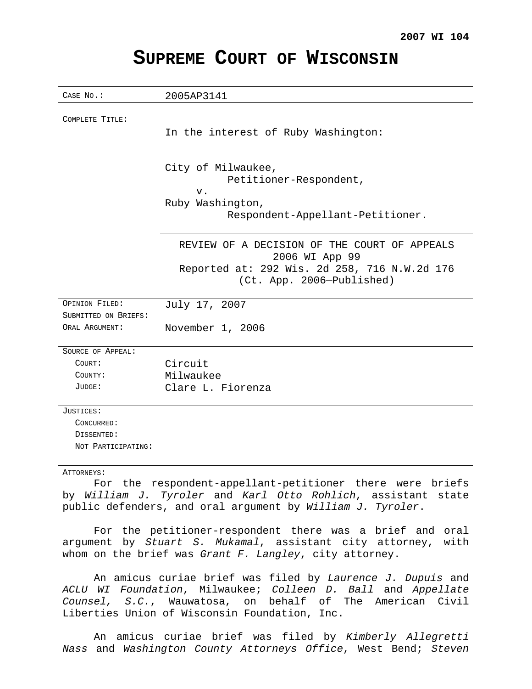# **SUPREME COURT OF WISCONSIN**

| CASE No.:                                                   | 2005AP3141                                                                                                                                  |
|-------------------------------------------------------------|---------------------------------------------------------------------------------------------------------------------------------------------|
| COMPLETE TITLE:                                             | In the interest of Ruby Washington:                                                                                                         |
|                                                             | City of Milwaukee,<br>Petitioner-Respondent,<br>$V$ .<br>Ruby Washington,<br>Respondent-Appellant-Petitioner.                               |
|                                                             | REVIEW OF A DECISION OF THE COURT OF APPEALS<br>2006 WI App 99<br>Reported at: 292 Wis. 2d 258, 716 N.W.2d 176<br>(Ct. App. 2006-Published) |
| OPINION FILED:<br>SUBMITTED ON BRIEFS:<br>ORAL ARGUMENT:    | July 17, 2007                                                                                                                               |
|                                                             | November 1, 2006                                                                                                                            |
| SOURCE OF APPEAL:<br>COURT:<br>COUNTY:<br>JUDGE:            | Circuit<br>Milwaukee<br>Clare L. Fiorenza                                                                                                   |
| JUSTICES:<br>CONCURRED:<br>DISSENTED:<br>NOT PARTICIPATING: |                                                                                                                                             |

## ATTORNEYS:

For the respondent-appellant-petitioner there were briefs by William J. Tyroler and Karl Otto Rohlich, assistant state public defenders, and oral argument by William J. Tyroler.

For the petitioner-respondent there was a brief and oral argument by Stuart S. Mukamal, assistant city attorney, with whom on the brief was Grant  $F$ . Langley, city attorney.

An amicus curiae brief was filed by Laurence J. Dupuis and ACLU WI Foundation, Milwaukee; Colleen D. Ball and Appellate Counsel, S.C., Wauwatosa, on behalf of The American Civil Liberties Union of Wisconsin Foundation, Inc.

An amicus curiae brief was filed by Kimberly Allegretti Nass and Washington County Attorneys Office, West Bend; Steven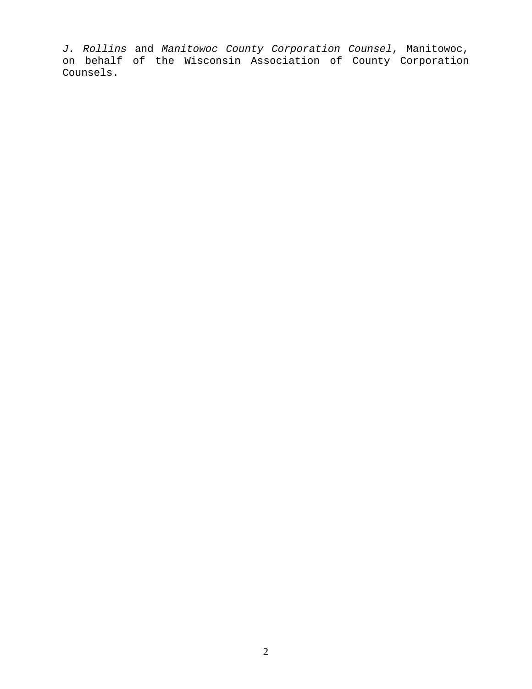J. Rollins and Manitowoc County Corporation Counsel, Manitowoc, on behalf of the Wisconsin Association of County Corporation Counsels.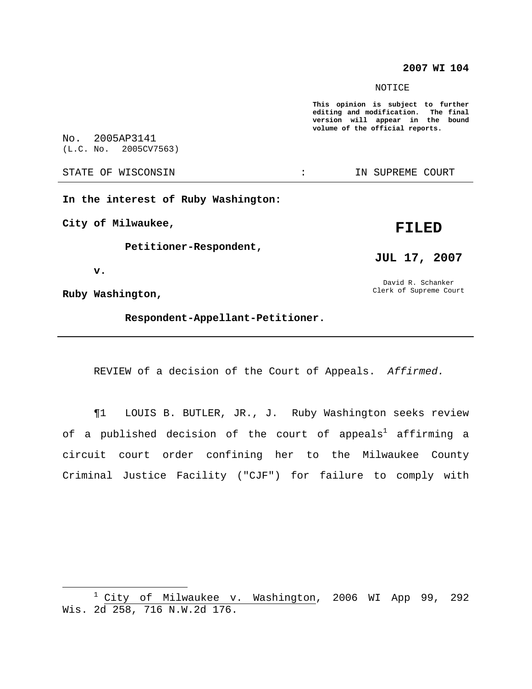# **2007 WI 104**

NOTICE

**This opinion is subject to further editing and modification. The final version will appear in the bound volume of the official reports.**

No. 2005AP3141 (L.C. No. 2005CV7563)

STATE OF WISCONSIN **EXECUTE:** IN SUPREME COURT

**In the interest of Ruby Washington:**

**City of Milwaukee,**

**Petitioner-Respondent,**

**v.**

**Ruby Washington,**

**Respondent-Appellant-Petitioner.**

REVIEW of a decision of the Court of Appeals. Affirmed.

¶1 LOUIS B. BUTLER, JR., J. Ruby Washington seeks review of a published decision of the court of appeals<sup>1</sup> affirming a circuit court order confining her to the Milwaukee County Criminal Justice Facility ("CJF") for failure to comply with

**FILED**

**JUL 17, 2007**

David R. Schanker Clerk of Supreme Court

<sup>1</sup> City of Milwaukee v. Washington, 2006 WI App 99, 292 Wis. 2d 258, 716 N.W.2d 176.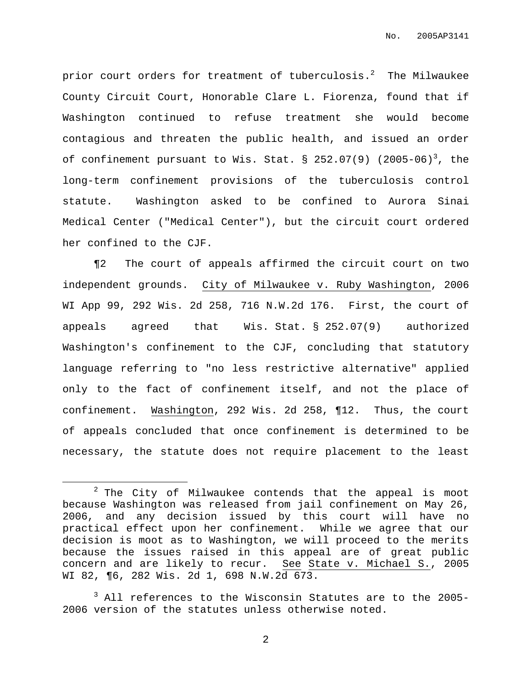prior court orders for treatment of tuberculosis. $^2$  The Milwaukee County Circuit Court, Honorable Clare L. Fiorenza, found that if Washington continued to refuse treatment she would become contagious and threaten the public health, and issued an order of confinement pursuant to Wis. Stat.  $\S$  252.07(9) (2005-06)<sup>3</sup>, the long-term confinement provisions of the tuberculosis control statute. Washington asked to be confined to Aurora Sinai Medical Center ("Medical Center"), but the circuit court ordered her confined to the CJF.

¶2 The court of appeals affirmed the circuit court on two independent grounds. City of Milwaukee v. Ruby Washington, 2006 WI App 99, 292 Wis. 2d 258, 716 N.W.2d 176. First, the court of appeals agreed that Wis. Stat. § 252.07(9) authorized Washington's confinement to the CJF, concluding that statutory language referring to "no less restrictive alternative" applied only to the fact of confinement itself, and not the place of confinement. Washington, 292 Wis. 2d 258, ¶12. Thus, the court of appeals concluded that once confinement is determined to be necessary, the statute does not require placement to the least

 $2$  The City of Milwaukee contends that the appeal is moot because Washington was released from jail confinement on May 26, 2006, and any decision issued by this court will have no practical effect upon her confinement. While we agree that our decision is moot as to Washington, we will proceed to the merits because the issues raised in this appeal are of great public concern and are likely to recur. See State v. Michael S., 2005 WI 82, ¶6, 282 Wis. 2d 1, 698 N.W.2d 673.

 $3$  All references to the Wisconsin Statutes are to the 2005-2006 version of the statutes unless otherwise noted.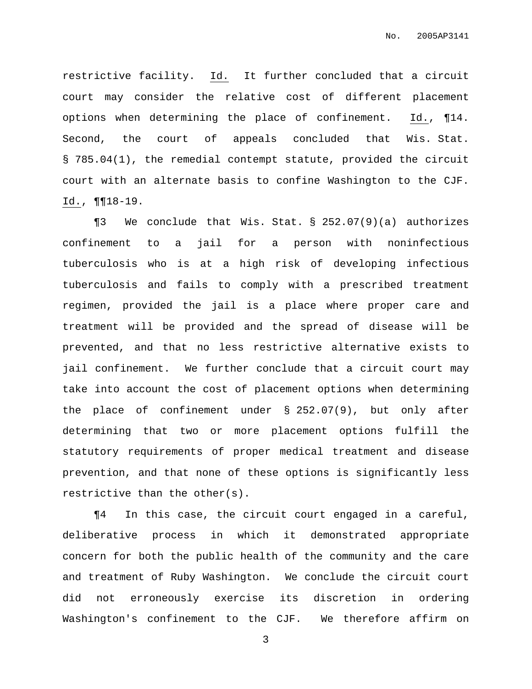restrictive facility. Id. It further concluded that a circuit court may consider the relative cost of different placement options when determining the place of confinement. Id., ¶14. Second, the court of appeals concluded that Wis. Stat. § 785.04(1), the remedial contempt statute, provided the circuit court with an alternate basis to confine Washington to the CJF. Id., ¶¶18-19.

¶3 We conclude that Wis. Stat. § 252.07(9)(a) authorizes confinement to a jail for a person with noninfectious tuberculosis who is at a high risk of developing infectious tuberculosis and fails to comply with a prescribed treatment regimen, provided the jail is a place where proper care and treatment will be provided and the spread of disease will be prevented, and that no less restrictive alternative exists to jail confinement. We further conclude that a circuit court may take into account the cost of placement options when determining the place of confinement under § 252.07(9), but only after determining that two or more placement options fulfill the statutory requirements of proper medical treatment and disease prevention, and that none of these options is significantly less restrictive than the other(s).

¶4 In this case, the circuit court engaged in a careful, deliberative process in which it demonstrated appropriate concern for both the public health of the community and the care and treatment of Ruby Washington. We conclude the circuit court did not erroneously exercise its discretion in ordering Washington's confinement to the CJF. We therefore affirm on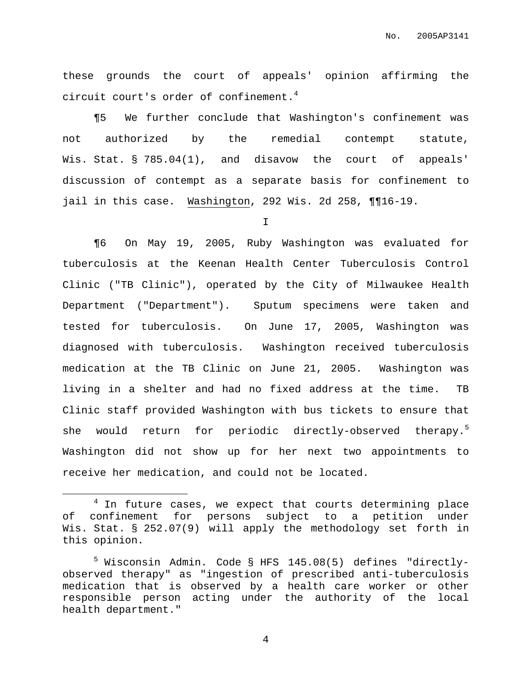these grounds the court of appeals' opinion affirming the circuit court's order of confinement. 4

¶5 We further conclude that Washington's confinement was not authorized by the remedial contempt statute, Wis. Stat. § 785.04(1), and disavow the court of appeals' discussion of contempt as a separate basis for confinement to jail in this case. Washington, 292 Wis. 2d 258, ¶¶16-19.

I

¶6 On May 19, 2005, Ruby Washington was evaluated for tuberculosis at the Keenan Health Center Tuberculosis Control Clinic ("TB Clinic"), operated by the City of Milwaukee Health Department ("Department"). Sputum specimens were taken and tested for tuberculosis. On June 17, 2005, Washington was diagnosed with tuberculosis. Washington received tuberculosis medication at the TB Clinic on June 21, 2005. Washington was living in a shelter and had no fixed address at the time. TB Clinic staff provided Washington with bus tickets to ensure that she would return for periodic directly-observed therapy. 5 Washington did not show up for her next two appointments to receive her medication, and could not be located.

 $4$  In future cases, we expect that courts determining place of confinement for persons subject to a petition under Wis. Stat. § 252.07(9) will apply the methodology set forth in this opinion.

<sup>5</sup> Wisconsin Admin. Code § HFS 145.08(5) defines "directlyobserved therapy" as "ingestion of prescribed anti-tuberculosis medication that is observed by a health care worker or other responsible person acting under the authority of the local health department."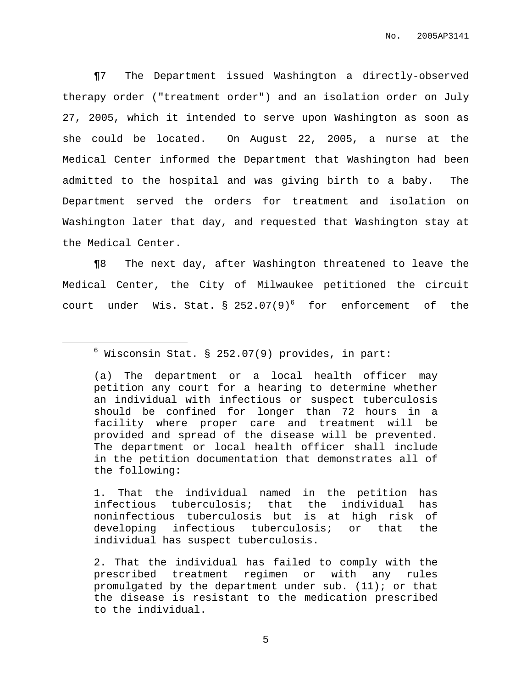¶7 The Department issued Washington a directly-observed therapy order ("treatment order") and an isolation order on July 27, 2005, which it intended to serve upon Washington as soon as she could be located. On August 22, 2005, a nurse at the Medical Center informed the Department that Washington had been admitted to the hospital and was giving birth to a baby. The Department served the orders for treatment and isolation on Washington later that day, and requested that Washington stay at the Medical Center.

¶8 The next day, after Washington threatened to leave the Medical Center, the City of Milwaukee petitioned the circuit court under Wis. Stat.  $\S$  252.07(9)<sup>6</sup> for enforcement of the

 $6$  Wisconsin Stat. § 252.07(9) provides, in part:

<sup>(</sup>a) The department or a local health officer may petition any court for a hearing to determine whether an individual with infectious or suspect tuberculosis should be confined for longer than 72 hours in a facility where proper care and treatment will be provided and spread of the disease will be prevented. The department or local health officer shall include in the petition documentation that demonstrates all of the following:

<sup>1.</sup> That the individual named in the petition has infectious tuberculosis; that the individual has noninfectious tuberculosis but is at high risk of developing infectious tuberculosis; or that the individual has suspect tuberculosis.

<sup>2.</sup> That the individual has failed to comply with the prescribed treatment regimen or with any rules promulgated by the department under sub. (11); or that the disease is resistant to the medication prescribed to the individual.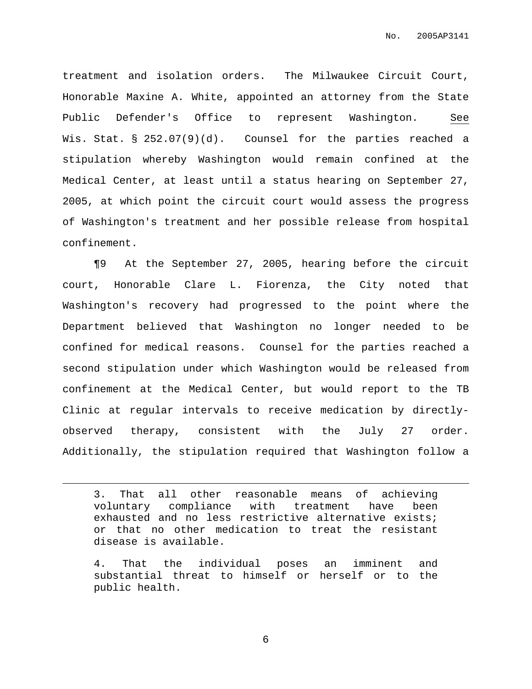treatment and isolation orders. The Milwaukee Circuit Court, Honorable Maxine A. White, appointed an attorney from the State Public Defender's Office to represent Washington. See Wis. Stat. § 252.07(9)(d). Counsel for the parties reached a stipulation whereby Washington would remain confined at the Medical Center, at least until a status hearing on September 27, 2005, at which point the circuit court would assess the progress of Washington's treatment and her possible release from hospital confinement.

¶9 At the September 27, 2005, hearing before the circuit court, Honorable Clare L. Fiorenza, the City noted that Washington's recovery had progressed to the point where the Department believed that Washington no longer needed to be confined for medical reasons. Counsel for the parties reached a second stipulation under which Washington would be released from confinement at the Medical Center, but would report to the TB Clinic at regular intervals to receive medication by directlyobserved therapy, consistent with the July 27 order. Additionally, the stipulation required that Washington follow a

3. That all other reasonable means of achieving voluntary compliance with treatment have been exhausted and no less restrictive alternative exists; or that no other medication to treat the resistant disease is available.

4. That the individual poses an imminent and substantial threat to himself or herself or to the public health.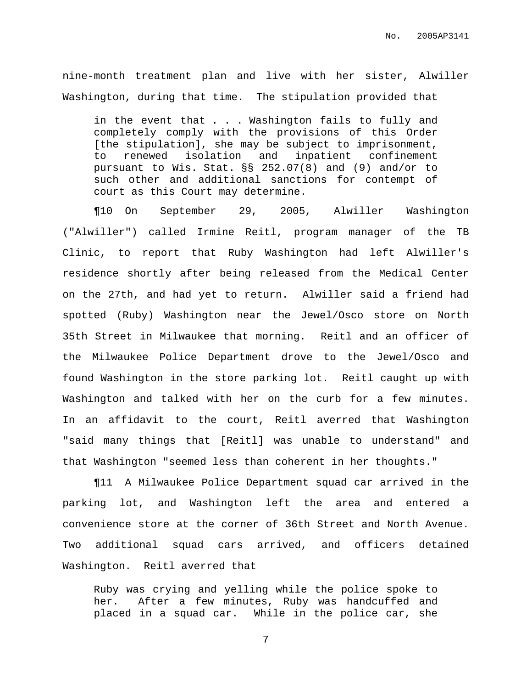nine-month treatment plan and live with her sister, Alwiller Washington, during that time. The stipulation provided that

in the event that . . . Washington fails to fully and completely comply with the provisions of this Order [the stipulation], she may be subject to imprisonment, to renewed isolation and inpatient confinement pursuant to Wis. Stat. §§ 252.07(8) and (9) and/or to such other and additional sanctions for contempt of court as this Court may determine.

¶10 On September 29, 2005, Alwiller Washington ("Alwiller") called Irmine Reitl, program manager of the TB Clinic, to report that Ruby Washington had left Alwiller's residence shortly after being released from the Medical Center on the 27th, and had yet to return. Alwiller said a friend had spotted (Ruby) Washington near the Jewel/Osco store on North 35th Street in Milwaukee that morning. Reitl and an officer of the Milwaukee Police Department drove to the Jewel/Osco and found Washington in the store parking lot. Reitl caught up with Washington and talked with her on the curb for a few minutes. In an affidavit to the court, Reitl averred that Washington "said many things that [Reitl] was unable to understand" and that Washington "seemed less than coherent in her thoughts."

¶11 A Milwaukee Police Department squad car arrived in the parking lot, and Washington left the area and entered a convenience store at the corner of 36th Street and North Avenue. Two additional squad cars arrived, and officers detained Washington. Reitl averred that

Ruby was crying and yelling while the police spoke to her. After a few minutes, Ruby was handcuffed and placed in a squad car. While in the police car, she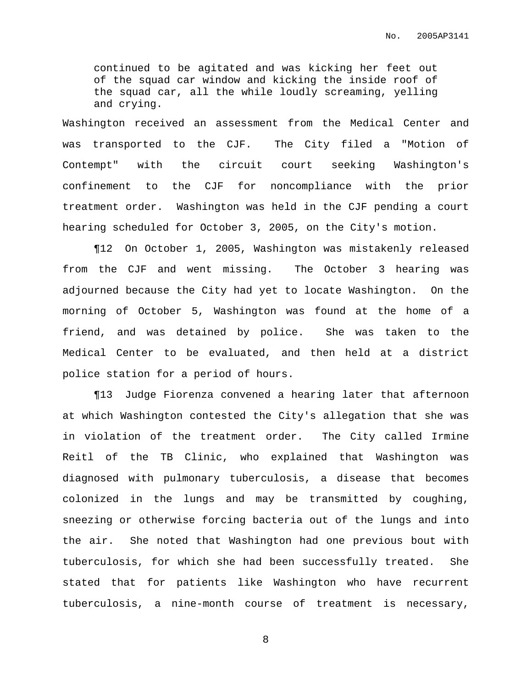continued to be agitated and was kicking her feet out of the squad car window and kicking the inside roof of the squad car, all the while loudly screaming, yelling and crying.

Washington received an assessment from the Medical Center and was transported to the CJF. The City filed a "Motion of Contempt" with the circuit court seeking Washington's confinement to the CJF for noncompliance with the prior treatment order. Washington was held in the CJF pending a court hearing scheduled for October 3, 2005, on the City's motion.

¶12 On October 1, 2005, Washington was mistakenly released from the CJF and went missing. The October 3 hearing was adjourned because the City had yet to locate Washington. On the morning of October 5, Washington was found at the home of a friend, and was detained by police. She was taken to the Medical Center to be evaluated, and then held at a district police station for a period of hours.

¶13 Judge Fiorenza convened a hearing later that afternoon at which Washington contested the City's allegation that she was in violation of the treatment order. The City called Irmine Reitl of the TB Clinic, who explained that Washington was diagnosed with pulmonary tuberculosis, a disease that becomes colonized in the lungs and may be transmitted by coughing, sneezing or otherwise forcing bacteria out of the lungs and into the air. She noted that Washington had one previous bout with tuberculosis, for which she had been successfully treated. She stated that for patients like Washington who have recurrent tuberculosis, a nine-month course of treatment is necessary,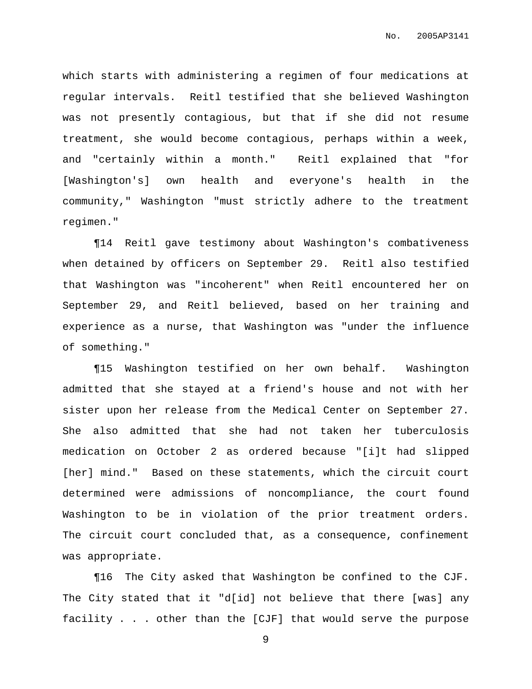which starts with administering a regimen of four medications at regular intervals. Reitl testified that she believed Washington was not presently contagious, but that if she did not resume treatment, she would become contagious, perhaps within a week, and "certainly within a month." Reitl explained that "for [Washington's] own health and everyone's health in the community," Washington "must strictly adhere to the treatment regimen."

¶14 Reitl gave testimony about Washington's combativeness when detained by officers on September 29. Reitl also testified that Washington was "incoherent" when Reitl encountered her on September 29, and Reitl believed, based on her training and experience as a nurse, that Washington was "under the influence of something."

¶15 Washington testified on her own behalf. Washington admitted that she stayed at a friend's house and not with her sister upon her release from the Medical Center on September 27. She also admitted that she had not taken her tuberculosis medication on October 2 as ordered because "[i]t had slipped [her] mind." Based on these statements, which the circuit court determined were admissions of noncompliance, the court found Washington to be in violation of the prior treatment orders. The circuit court concluded that, as a consequence, confinement was appropriate.

¶16 The City asked that Washington be confined to the CJF. The City stated that it "d[id] not believe that there [was] any facility . . . other than the [CJF] that would serve the purpose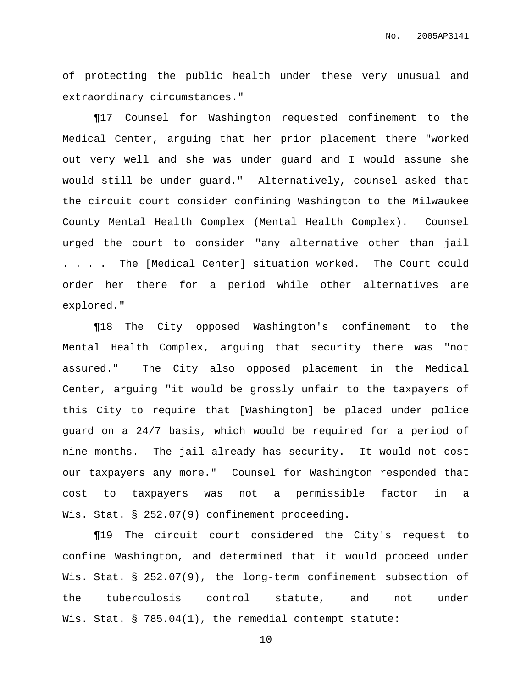of protecting the public health under these very unusual and extraordinary circumstances."

¶17 Counsel for Washington requested confinement to the Medical Center, arguing that her prior placement there "worked out very well and she was under guard and I would assume she would still be under guard." Alternatively, counsel asked that the circuit court consider confining Washington to the Milwaukee County Mental Health Complex (Mental Health Complex). Counsel urged the court to consider "any alternative other than jail . . . . The [Medical Center] situation worked. The Court could order her there for a period while other alternatives are explored."

¶18 The City opposed Washington's confinement to the Mental Health Complex, arguing that security there was "not assured." The City also opposed placement in the Medical Center, arguing "it would be grossly unfair to the taxpayers of this City to require that [Washington] be placed under police guard on a 24/7 basis, which would be required for a period of nine months. The jail already has security. It would not cost our taxpayers any more." Counsel for Washington responded that cost to taxpayers was not a permissible factor in a Wis. Stat. § 252.07(9) confinement proceeding.

¶19 The circuit court considered the City's request to confine Washington, and determined that it would proceed under Wis. Stat. § 252.07(9), the long-term confinement subsection of the tuberculosis control statute, and not under Wis. Stat. § 785.04(1), the remedial contempt statute: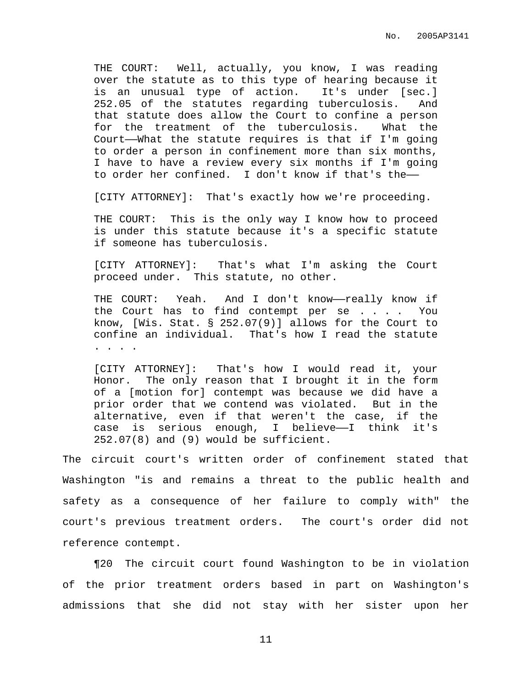THE COURT: Well, actually, you know, I was reading over the statute as to this type of hearing because it is an unusual type of action. It's under [sec.] 252.05 of the statutes regarding tuberculosis. And that statute does allow the Court to confine a person for the treatment of the tuberculosis. What the Court——What the statute requires is that if I'm going to order a person in confinement more than six months, I have to have a review every six months if I'm going to order her confined. I don't know if that's the——

[CITY ATTORNEY]: That's exactly how we're proceeding.

THE COURT: This is the only way I know how to proceed is under this statute because it's a specific statute if someone has tuberculosis.

[CITY ATTORNEY]: That's what I'm asking the Court proceed under. This statute, no other.

THE COURT: Yeah. And I don't know—really know if the Court has to find contempt per se . . . . You know, [Wis. Stat. § 252.07(9)] allows for the Court to confine an individual. That's how I read the statute . . . .

[CITY ATTORNEY]: That's how I would read it, your Honor. The only reason that I brought it in the form of a [motion for] contempt was because we did have a prior order that we contend was violated. But in the alternative, even if that weren't the case, if the case is serious enough, I believe——I think it's 252.07(8) and (9) would be sufficient.

The circuit court's written order of confinement stated that Washington "is and remains a threat to the public health and safety as a consequence of her failure to comply with" the court's previous treatment orders. The court's order did not reference contempt.

¶20 The circuit court found Washington to be in violation of the prior treatment orders based in part on Washington's admissions that she did not stay with her sister upon her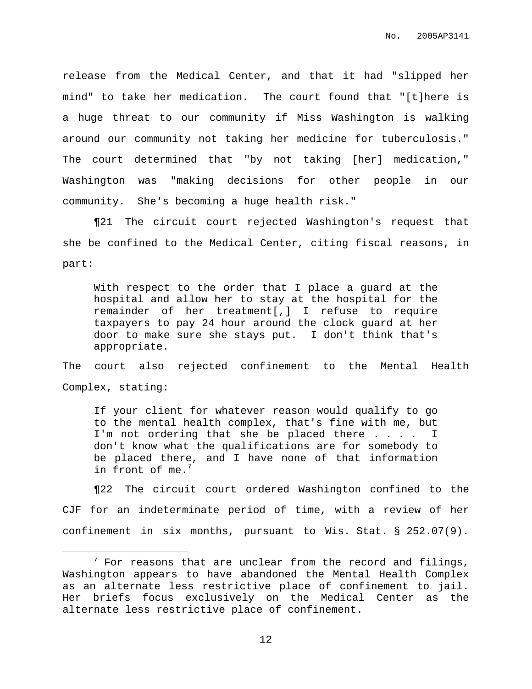release from the Medical Center, and that it had "slipped her mind" to take her medication. The court found that "[t]here is a huge threat to our community if Miss Washington is walking around our community not taking her medicine for tuberculosis." The court determined that "by not taking [her] medication," Washington was "making decisions for other people in our community. She's becoming a huge health risk."

¶21 The circuit court rejected Washington's request that she be confined to the Medical Center, citing fiscal reasons, in part:

With respect to the order that I place a guard at the hospital and allow her to stay at the hospital for the remainder of her treatment[,] I refuse to require taxpayers to pay 24 hour around the clock guard at her door to make sure she stays put. I don't think that's appropriate.

The court also rejected confinement to the Mental Health Complex, stating:

If your client for whatever reason would qualify to go to the mental health complex, that's fine with me, but I'm not ordering that she be placed there . . . . I don't know what the qualifications are for somebody to be placed there, and I have none of that information in front of me.<sup>7</sup>

¶22 The circuit court ordered Washington confined to the CJF for an indeterminate period of time, with a review of her confinement in six months, pursuant to Wis. Stat. § 252.07(9).

 $7$  For reasons that are unclear from the record and filings, Washington appears to have abandoned the Mental Health Complex as an alternate less restrictive place of confinement to jail. Her briefs focus exclusively on the Medical Center as the alternate less restrictive place of confinement.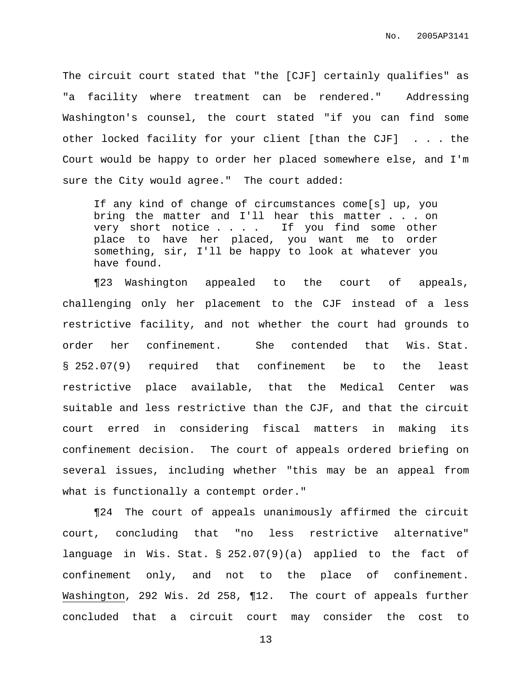The circuit court stated that "the [CJF] certainly qualifies" as "a facility where treatment can be rendered." Addressing Washington's counsel, the court stated "if you can find some other locked facility for your client [than the CJF] . . . the Court would be happy to order her placed somewhere else, and I'm sure the City would agree." The court added:

If any kind of change of circumstances come[s] up, you bring the matter and I'll hear this matter . . . on very short notice . . . . If you find some other place to have her placed, you want me to order something, sir, I'll be happy to look at whatever you have found.

¶23 Washington appealed to the court of appeals, challenging only her placement to the CJF instead of a less restrictive facility, and not whether the court had grounds to order her confinement. She contended that Wis. Stat. § 252.07(9) required that confinement be to the least restrictive place available, that the Medical Center was suitable and less restrictive than the CJF, and that the circuit court erred in considering fiscal matters in making its confinement decision. The court of appeals ordered briefing on several issues, including whether "this may be an appeal from what is functionally a contempt order."

¶24 The court of appeals unanimously affirmed the circuit court, concluding that "no less restrictive alternative" language in Wis. Stat. § 252.07(9)(a) applied to the fact of confinement only, and not to the place of confinement. Washington, 292 Wis. 2d 258, ¶12. The court of appeals further concluded that a circuit court may consider the cost to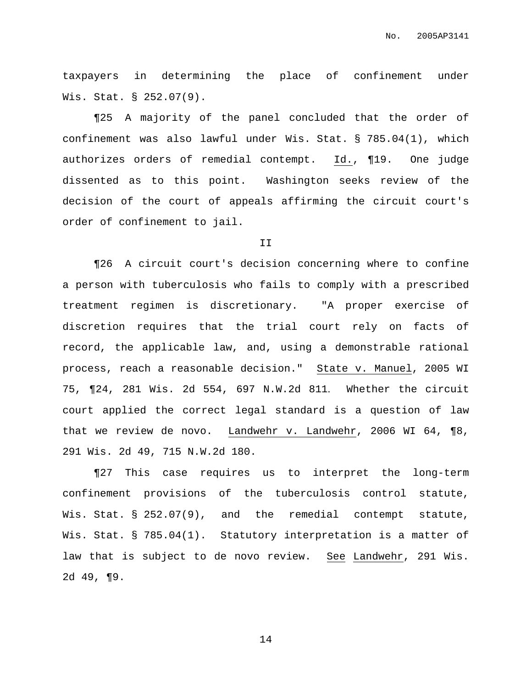taxpayers in determining the place of confinement under Wis. Stat. § 252.07(9).

¶25 A majority of the panel concluded that the order of confinement was also lawful under Wis. Stat. § 785.04(1), which authorizes orders of remedial contempt. Id., ¶19. One judge dissented as to this point. Washington seeks review of the decision of the court of appeals affirming the circuit court's order of confinement to jail.

II

¶26 A circuit court's decision concerning where to confine a person with tuberculosis who fails to comply with a prescribed treatment regimen is discretionary. "A proper exercise of discretion requires that the trial court rely on facts of record, the applicable law, and, using a demonstrable rational process, reach a reasonable decision." State v. Manuel, 2005 WI 75, ¶24, 281 Wis. 2d 554, 697 N.W.2d 811. Whether the circuit court applied the correct legal standard is a question of law that we review de novo. Landwehr v. Landwehr, 2006 WI 64, ¶8, 291 Wis. 2d 49, 715 N.W.2d 180.

¶27 This case requires us to interpret the long-term confinement provisions of the tuberculosis control statute, Wis. Stat. § 252.07(9), and the remedial contempt statute, Wis. Stat. § 785.04(1). Statutory interpretation is a matter of law that is subject to de novo review. See Landwehr, 291 Wis. 2d 49, ¶9.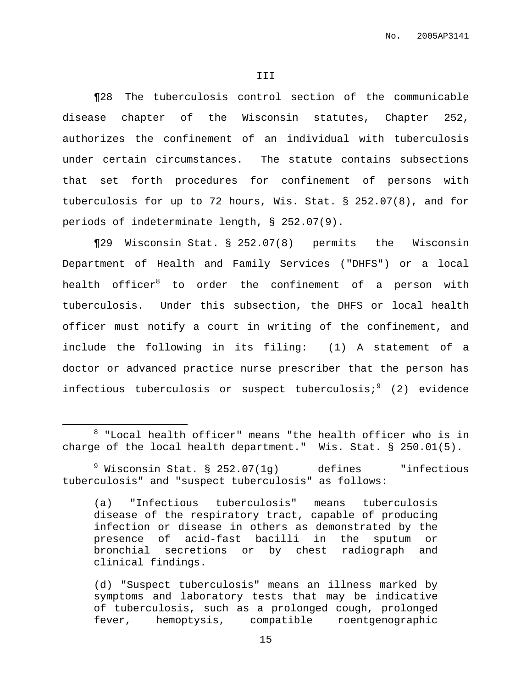¶28 The tuberculosis control section of the communicable disease chapter of the Wisconsin statutes, Chapter 252, authorizes the confinement of an individual with tuberculosis under certain circumstances. The statute contains subsections that set forth procedures for confinement of persons with tuberculosis for up to 72 hours, Wis. Stat. § 252.07(8), and for periods of indeterminate length, § 252.07(9).

¶29 Wisconsin Stat. § 252.07(8) permits the Wisconsin Department of Health and Family Services ("DHFS") or a local health officer $^8$  to order the confinement of a person with tuberculosis. Under this subsection, the DHFS or local health officer must notify a court in writing of the confinement, and include the following in its filing: (1) A statement of a doctor or advanced practice nurse prescriber that the person has infectious tuberculosis or suspect tuberculosis;<sup>9</sup> (2) evidence

 $8$  "Local health officer" means "the health officer who is in charge of the local health department." Wis. Stat. § 250.01(5).

 $9$  Wisconsin Stat. § 252.07(1g) defines "infectious tuberculosis" and "suspect tuberculosis" as follows:

<sup>(</sup>a) "Infectious tuberculosis" means tuberculosis disease of the respiratory tract, capable of producing infection or disease in others as demonstrated by the presence of acid-fast bacilli in the sputum or bronchial secretions or by chest radiograph and clinical findings.

<sup>(</sup>d) "Suspect tuberculosis" means an illness marked by symptoms and laboratory tests that may be indicative of tuberculosis, such as a prolonged cough, prolonged fever, hemoptysis, compatible roentgenographic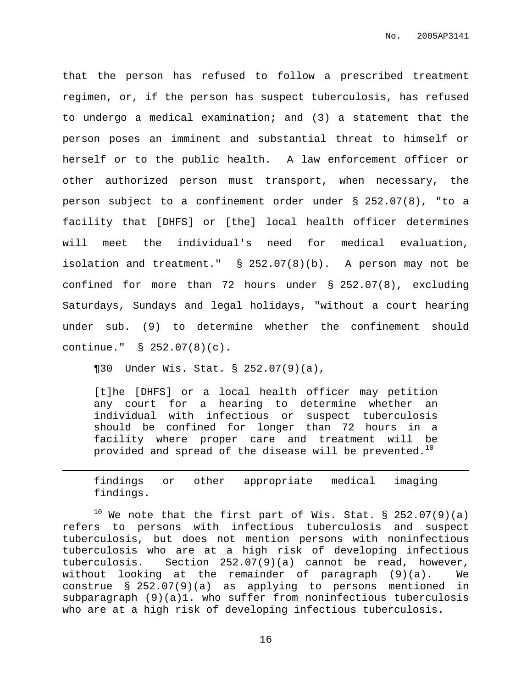that the person has refused to follow a prescribed treatment regimen, or, if the person has suspect tuberculosis, has refused to undergo a medical examination; and (3) a statement that the person poses an imminent and substantial threat to himself or herself or to the public health. A law enforcement officer or other authorized person must transport, when necessary, the person subject to a confinement order under § 252.07(8), "to a facility that [DHFS] or [the] local health officer determines will meet the individual's need for medical evaluation, isolation and treatment." § 252.07(8)(b). A person may not be confined for more than 72 hours under § 252.07(8), excluding Saturdays, Sundays and legal holidays, "without a court hearing under sub. (9) to determine whether the confinement should continue." § 252.07(8)(c).

¶30 Under Wis. Stat. § 252.07(9)(a),

[t]he [DHFS] or a local health officer may petition any court for a hearing to determine whether an individual with infectious or suspect tuberculosis should be confined for longer than 72 hours in a facility where proper care and treatment will be provided and spread of the disease will be prevented. $^{10}$ 

findings or other appropriate medical imaging findings.

 $10$  We note that the first part of Wis. Stat. § 252.07(9)(a) refers to persons with infectious tuberculosis and suspect tuberculosis, but does not mention persons with noninfectious tuberculosis who are at a high risk of developing infectious tuberculosis. Section 252.07(9)(a) cannot be read, however, without looking at the remainder of paragraph (9)(a). We construe § 252.07(9)(a) as applying to persons mentioned in subparagraph (9)(a)1. who suffer from noninfectious tuberculosis who are at a high risk of developing infectious tuberculosis.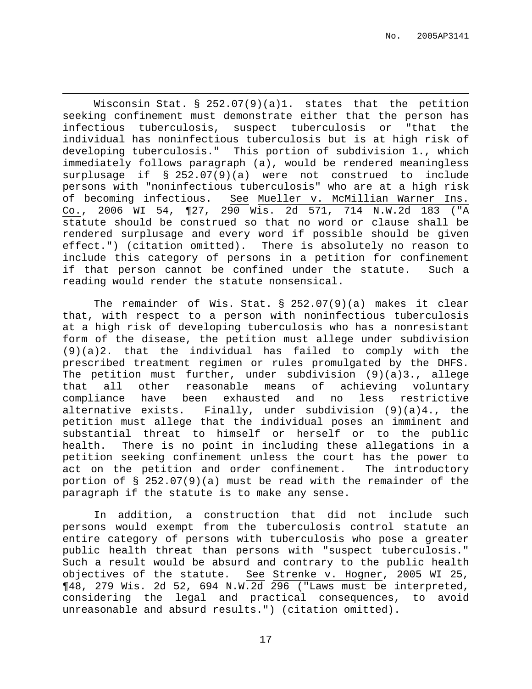Wisconsin Stat. § 252.07(9)(a)1. states that the petition seeking confinement must demonstrate either that the person has infectious tuberculosis, suspect tuberculosis or "that the individual has noninfectious tuberculosis but is at high risk of developing tuberculosis." This portion of subdivision 1., which immediately follows paragraph (a), would be rendered meaningless surplusage if § 252.07(9)(a) were not construed to include persons with "noninfectious tuberculosis" who are at a high risk of becoming infectious. See Mueller v. McMillian Warner Ins. Co., 2006 WI 54, ¶27, 290 Wis. 2d 571, 714 N.W.2d 183 ("A statute should be construed so that no word or clause shall be rendered surplusage and every word if possible should be given effect.") (citation omitted). There is absolutely no reason to include this category of persons in a petition for confinement if that person cannot be confined under the statute. Such a reading would render the statute nonsensical.

The remainder of Wis. Stat. § 252.07(9)(a) makes it clear that, with respect to a person with noninfectious tuberculosis at a high risk of developing tuberculosis who has a nonresistant form of the disease, the petition must allege under subdivision (9)(a)2. that the individual has failed to comply with the prescribed treatment regimen or rules promulgated by the DHFS. The petition must further, under subdivision (9)(a)3., allege that all other reasonable means of achieving voluntary compliance have been exhausted and no less restrictive alternative exists. Finally, under subdivision (9)(a)4., the petition must allege that the individual poses an imminent and substantial threat to himself or herself or to the public health. There is no point in including these allegations in a petition seeking confinement unless the court has the power to act on the petition and order confinement. The introductory portion of § 252.07(9)(a) must be read with the remainder of the paragraph if the statute is to make any sense.

In addition, a construction that did not include such persons would exempt from the tuberculosis control statute an entire category of persons with tuberculosis who pose a greater public health threat than persons with "suspect tuberculosis." Such a result would be absurd and contrary to the public health objectives of the statute. See Strenke v. Hogner, 2005 WI 25, ¶48, 279 Wis. 2d 52, 694 N.W.2d 296 ("Laws must be interpreted, considering the legal and practical consequences, to avoid unreasonable and absurd results.") (citation omitted).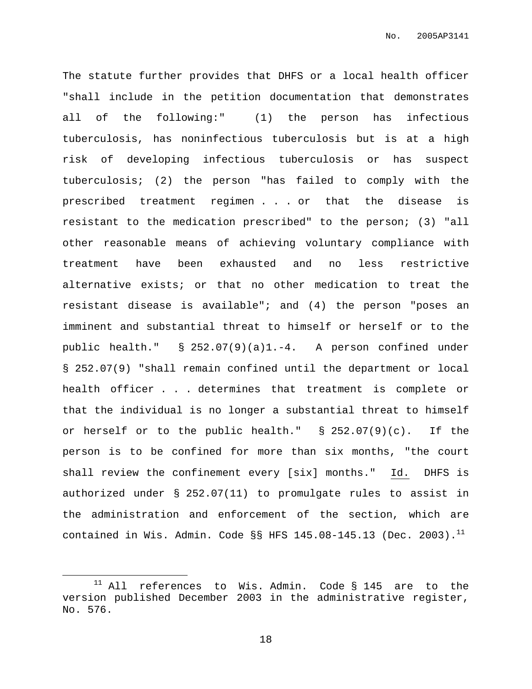The statute further provides that DHFS or a local health officer "shall include in the petition documentation that demonstrates all of the following:" (1) the person has infectious tuberculosis, has noninfectious tuberculosis but is at a high risk of developing infectious tuberculosis or has suspect tuberculosis; (2) the person "has failed to comply with the prescribed treatment regimen . . . or that the disease is resistant to the medication prescribed" to the person; (3) "all other reasonable means of achieving voluntary compliance with treatment have been exhausted and no less restrictive alternative exists; or that no other medication to treat the resistant disease is available"; and (4) the person "poses an imminent and substantial threat to himself or herself or to the public health." § 252.07(9)(a)1.-4. A person confined under § 252.07(9) "shall remain confined until the department or local health officer . . . determines that treatment is complete or that the individual is no longer a substantial threat to himself or herself or to the public health."  $\S$  252.07(9)(c). If the person is to be confined for more than six months, "the court shall review the confinement every [six] months." Id. DHFS is authorized under § 252.07(11) to promulgate rules to assist in the administration and enforcement of the section, which are contained in Wis. Admin. Code §§ HFS  $145.08-145.13$  (Dec. 2003). $^{11}$ 

<sup>&</sup>lt;sup>11</sup> All references to Wis. Admin. Code § 145 are to the version published December 2003 in the administrative register, No. 576.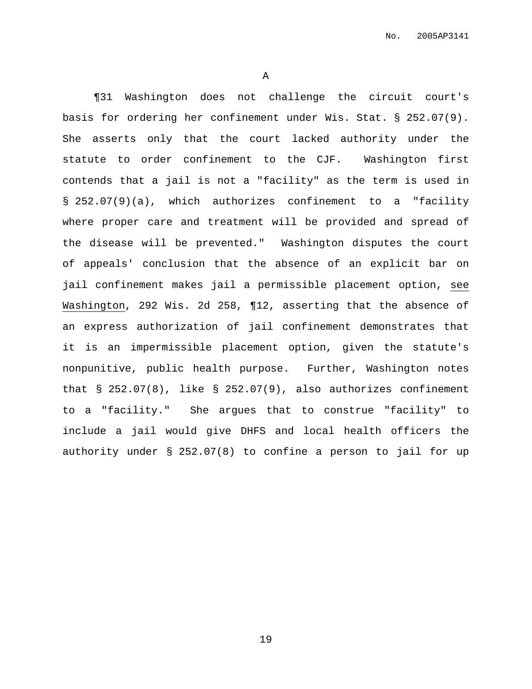A

¶31 Washington does not challenge the circuit court's basis for ordering her confinement under Wis. Stat. § 252.07(9). She asserts only that the court lacked authority under the statute to order confinement to the CJF. Washington first contends that a jail is not a "facility" as the term is used in § 252.07(9)(a), which authorizes confinement to a "facility where proper care and treatment will be provided and spread of the disease will be prevented." Washington disputes the court of appeals' conclusion that the absence of an explicit bar on jail confinement makes jail a permissible placement option, see Washington, 292 Wis. 2d 258, ¶12, asserting that the absence of an express authorization of jail confinement demonstrates that it is an impermissible placement option, given the statute's nonpunitive, public health purpose. Further, Washington notes that § 252.07(8), like § 252.07(9), also authorizes confinement to a "facility." She argues that to construe "facility" to include a jail would give DHFS and local health officers the authority under § 252.07(8) to confine a person to jail for up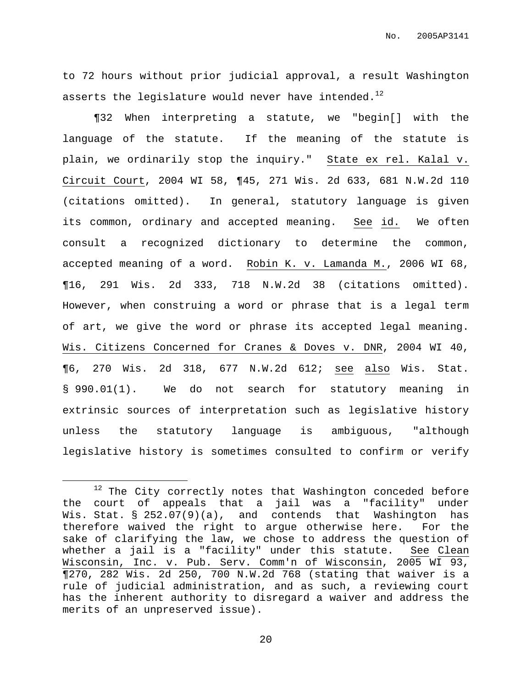to 72 hours without prior judicial approval, a result Washington asserts the legislature would never have intended. $^{12}$ 

¶32 When interpreting a statute, we "begin[] with the language of the statute. If the meaning of the statute is plain, we ordinarily stop the inquiry." State ex rel. Kalal v. Circuit Court, 2004 WI 58, ¶45, 271 Wis. 2d 633, 681 N.W.2d 110 (citations omitted). In general, statutory language is given its common, ordinary and accepted meaning. See id. We often consult a recognized dictionary to determine the common, accepted meaning of a word. Robin K. v. Lamanda M., 2006 WI 68, ¶16, 291 Wis. 2d 333, 718 N.W.2d 38 (citations omitted). However, when construing a word or phrase that is a legal term of art, we give the word or phrase its accepted legal meaning. Wis. Citizens Concerned for Cranes & Doves v. DNR, 2004 WI 40, ¶6, 270 Wis. 2d 318, 677 N.W.2d 612; see also Wis. Stat. § 990.01(1). We do not search for statutory meaning in extrinsic sources of interpretation such as legislative history unless the statutory language is ambiguous, "although legislative history is sometimes consulted to confirm or verify

 $12$  The City correctly notes that Washington conceded before the court of appeals that a jail was a "facility" under Wis. Stat. § 252.07(9)(a), and contends that Washington has therefore waived the right to argue otherwise here. For the sake of clarifying the law, we chose to address the question of whether a jail is a "facility" under this statute. See Clean Wisconsin, Inc. v. Pub. Serv. Comm'n of Wisconsin, 2005 WI 93, ¶270, 282 Wis. 2d 250, 700 N.W.2d 768 (stating that waiver is a rule of judicial administration, and as such, a reviewing court has the inherent authority to disregard a waiver and address the merits of an unpreserved issue).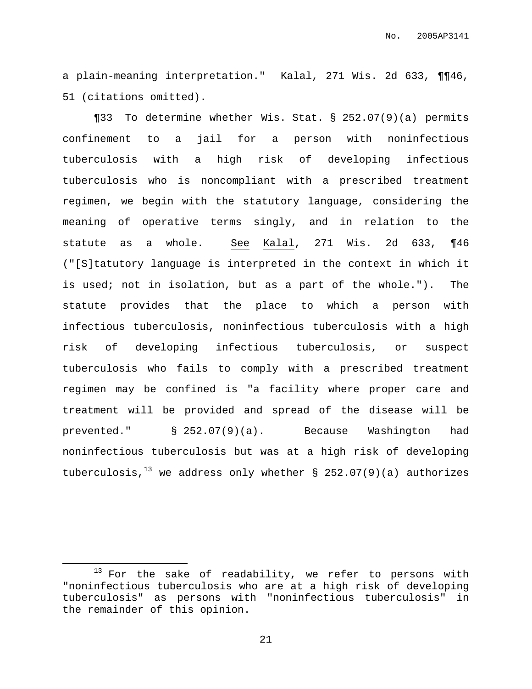a plain-meaning interpretation." Kalal, 271 Wis. 2d 633, ¶¶46, 51 (citations omitted).

¶33 To determine whether Wis. Stat. § 252.07(9)(a) permits confinement to a jail for a person with noninfectious tuberculosis with a high risk of developing infectious tuberculosis who is noncompliant with a prescribed treatment regimen, we begin with the statutory language, considering the meaning of operative terms singly, and in relation to the statute as a whole. See Kalal, 271 Wis. 2d 633, ¶46 ("[S]tatutory language is interpreted in the context in which it is used; not in isolation, but as a part of the whole."). The statute provides that the place to which a person with infectious tuberculosis, noninfectious tuberculosis with a high risk of developing infectious tuberculosis, or suspect tuberculosis who fails to comply with a prescribed treatment regimen may be confined is "a facility where proper care and treatment will be provided and spread of the disease will be prevented." § 252.07(9)(a). Because Washington had noninfectious tuberculosis but was at a high risk of developing tuberculosis, $^{13}$  we address only whether § 252.07(9)(a) authorizes

 $13$  For the sake of readability, we refer to persons with "noninfectious tuberculosis who are at a high risk of developing tuberculosis" as persons with "noninfectious tuberculosis" in the remainder of this opinion.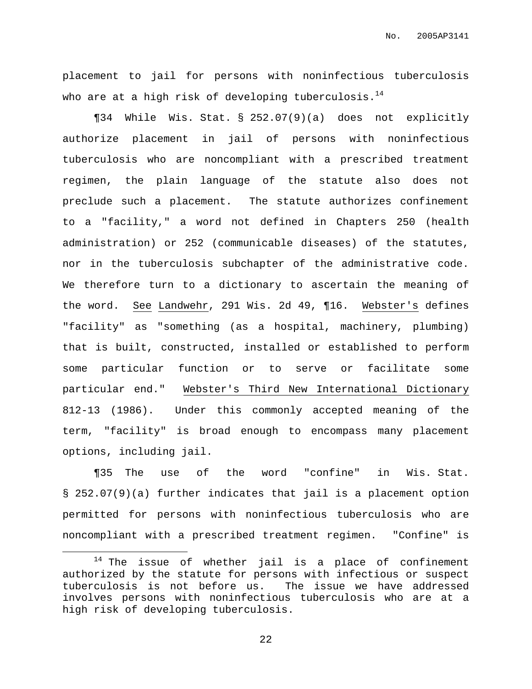No. 2005AP3141

placement to jail for persons with noninfectious tuberculosis who are at a high risk of developing tuberculosis. $^{14}$ 

¶34 While Wis. Stat. § 252.07(9)(a) does not explicitly authorize placement in jail of persons with noninfectious tuberculosis who are noncompliant with a prescribed treatment regimen, the plain language of the statute also does not preclude such a placement. The statute authorizes confinement to a "facility," a word not defined in Chapters 250 (health administration) or 252 (communicable diseases) of the statutes, nor in the tuberculosis subchapter of the administrative code. We therefore turn to a dictionary to ascertain the meaning of the word. See Landwehr, 291 Wis. 2d 49, ¶16. Webster's defines "facility" as "something (as a hospital, machinery, plumbing) that is built, constructed, installed or established to perform some particular function or to serve or facilitate some particular end." Webster's Third New International Dictionary 812-13 (1986). Under this commonly accepted meaning of the term, "facility" is broad enough to encompass many placement options, including jail.

¶35 The use of the word "confine" in Wis. Stat. § 252.07(9)(a) further indicates that jail is a placement option permitted for persons with noninfectious tuberculosis who are noncompliant with a prescribed treatment regimen. "Confine" is

 $14$  The issue of whether jail is a place of confinement authorized by the statute for persons with infectious or suspect tuberculosis is not before us. The issue we have addressed involves persons with noninfectious tuberculosis who are at a high risk of developing tuberculosis.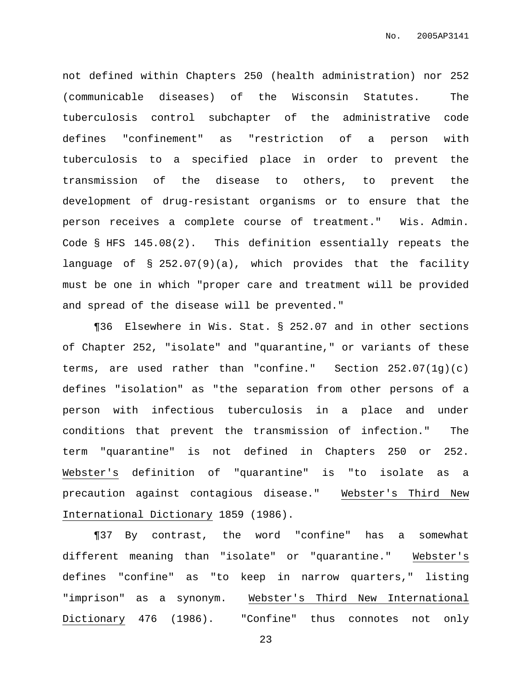not defined within Chapters 250 (health administration) nor 252 (communicable diseases) of the Wisconsin Statutes. The tuberculosis control subchapter of the administrative code defines "confinement" as "restriction of a person with tuberculosis to a specified place in order to prevent the transmission of the disease to others, to prevent the development of drug-resistant organisms or to ensure that the person receives a complete course of treatment." Wis. Admin. Code § HFS 145.08(2). This definition essentially repeats the language of § 252.07(9)(a), which provides that the facility must be one in which "proper care and treatment will be provided and spread of the disease will be prevented."

¶36 Elsewhere in Wis. Stat. § 252.07 and in other sections of Chapter 252, "isolate" and "quarantine," or variants of these terms, are used rather than "confine." Section 252.07(1g)(c) defines "isolation" as "the separation from other persons of a person with infectious tuberculosis in a place and under conditions that prevent the transmission of infection." The term "quarantine" is not defined in Chapters 250 or 252. Webster's definition of "quarantine" is "to isolate as a precaution against contagious disease." Webster's Third New International Dictionary 1859 (1986).

¶37 By contrast, the word "confine" has a somewhat different meaning than "isolate" or "quarantine." Webster's defines "confine" as "to keep in narrow quarters," listing "imprison" as a synonym. Webster's Third New International Dictionary 476 (1986). "Confine" thus connotes not only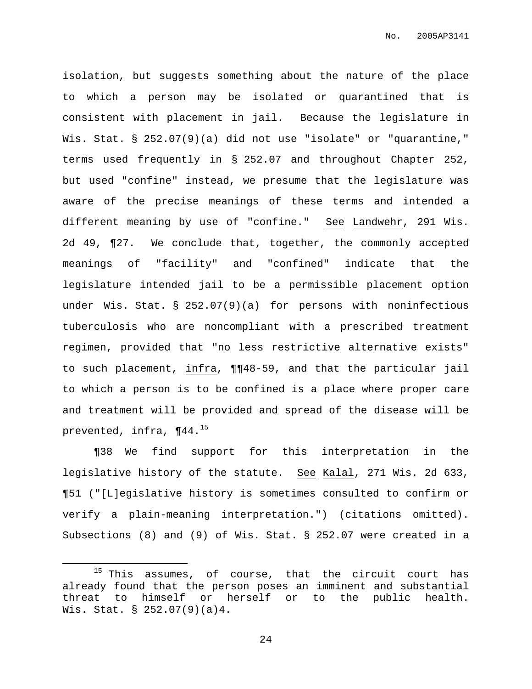isolation, but suggests something about the nature of the place to which a person may be isolated or quarantined that is consistent with placement in jail. Because the legislature in Wis. Stat. § 252.07(9)(a) did not use "isolate" or "quarantine," terms used frequently in § 252.07 and throughout Chapter 252, but used "confine" instead, we presume that the legislature was aware of the precise meanings of these terms and intended a different meaning by use of "confine." See Landwehr, 291 Wis. 2d 49, ¶27. We conclude that, together, the commonly accepted meanings of "facility" and "confined" indicate that the legislature intended jail to be a permissible placement option under Wis. Stat. § 252.07(9)(a) for persons with noninfectious tuberculosis who are noncompliant with a prescribed treatment regimen, provided that "no less restrictive alternative exists" to such placement, infra, ¶¶48-59, and that the particular jail to which a person is to be confined is a place where proper care and treatment will be provided and spread of the disease will be prevented, infra, ¶44. 15

¶38 We find support for this interpretation in the legislative history of the statute. See Kalal, 271 Wis. 2d 633, ¶51 ("[L]egislative history is sometimes consulted to confirm or verify a plain-meaning interpretation.") (citations omitted). Subsections (8) and (9) of Wis. Stat. § 252.07 were created in a

 $15$  This assumes, of course, that the circuit court has already found that the person poses an imminent and substantial threat to himself or herself or to the public health. Wis. Stat. § 252.07(9)(a)4.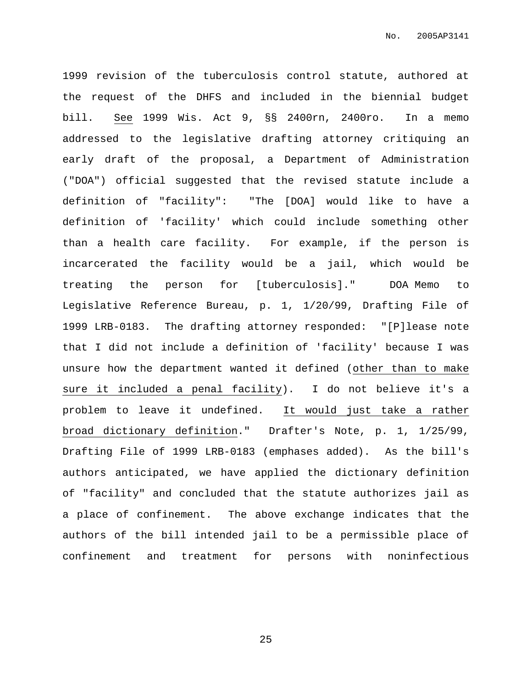1999 revision of the tuberculosis control statute, authored at the request of the DHFS and included in the biennial budget bill. See 1999 Wis. Act 9, §§ 2400rn, 2400ro. In a memo addressed to the legislative drafting attorney critiquing an early draft of the proposal, a Department of Administration ("DOA") official suggested that the revised statute include a definition of "facility": "The [DOA] would like to have a definition of 'facility' which could include something other than a health care facility. For example, if the person is incarcerated the facility would be a jail, which would be treating the person for [tuberculosis]." DOA Memo to Legislative Reference Bureau, p. 1, 1/20/99, Drafting File of 1999 LRB-0183. The drafting attorney responded: "[P]lease note that I did not include a definition of 'facility' because I was unsure how the department wanted it defined (other than to make sure it included a penal facility). I do not believe it's a problem to leave it undefined. It would just take a rather broad dictionary definition." Drafter's Note, p. 1, 1/25/99, Drafting File of 1999 LRB-0183 (emphases added). As the bill's authors anticipated, we have applied the dictionary definition of "facility" and concluded that the statute authorizes jail as a place of confinement. The above exchange indicates that the authors of the bill intended jail to be a permissible place of confinement and treatment for persons with noninfectious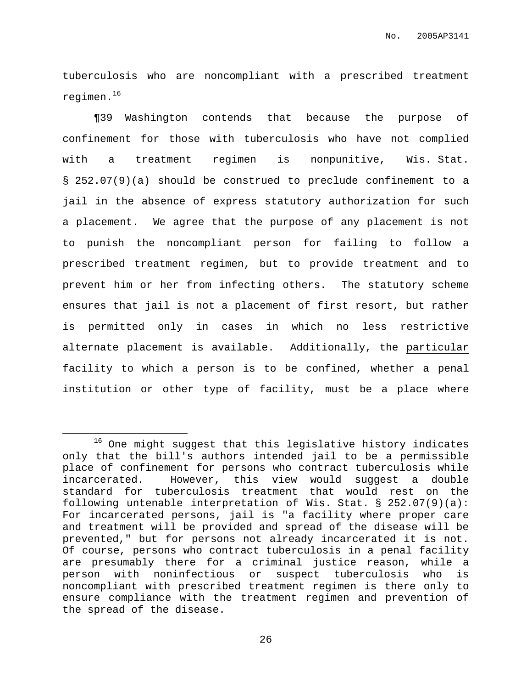tuberculosis who are noncompliant with a prescribed treatment regimen. 16

¶39 Washington contends that because the purpose of confinement for those with tuberculosis who have not complied with a treatment regimen is nonpunitive, Wis. Stat. § 252.07(9)(a) should be construed to preclude confinement to a jail in the absence of express statutory authorization for such a placement. We agree that the purpose of any placement is not to punish the noncompliant person for failing to follow a prescribed treatment regimen, but to provide treatment and to prevent him or her from infecting others. The statutory scheme ensures that jail is not a placement of first resort, but rather is permitted only in cases in which no less restrictive alternate placement is available. Additionally, the particular facility to which a person is to be confined, whether a penal institution or other type of facility, must be a place where

<sup>16</sup> One might suggest that this legislative history indicates only that the bill's authors intended jail to be a permissible place of confinement for persons who contract tuberculosis while incarcerated. However, this view would suggest a double standard for tuberculosis treatment that would rest on the following untenable interpretation of Wis. Stat. § 252.07(9)(a): For incarcerated persons, jail is "a facility where proper care and treatment will be provided and spread of the disease will be prevented," but for persons not already incarcerated it is not. Of course, persons who contract tuberculosis in a penal facility are presumably there for a criminal justice reason, while a person with noninfectious or suspect tuberculosis who is noncompliant with prescribed treatment regimen is there only to ensure compliance with the treatment regimen and prevention of the spread of the disease.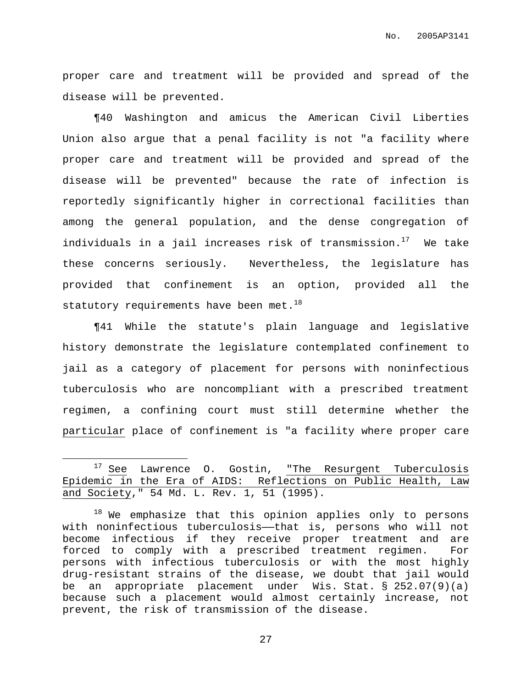proper care and treatment will be provided and spread of the disease will be prevented.

¶40 Washington and amicus the American Civil Liberties Union also argue that a penal facility is not "a facility where proper care and treatment will be provided and spread of the disease will be prevented" because the rate of infection is reportedly significantly higher in correctional facilities than among the general population, and the dense congregation of individuals in a jail increases risk of transmission. <sup>17</sup> We take these concerns seriously. Nevertheless, the legislature has provided that confinement is an option, provided all the statutory requirements have been met. $^{18}$ 

¶41 While the statute's plain language and legislative history demonstrate the legislature contemplated confinement to jail as a category of placement for persons with noninfectious tuberculosis who are noncompliant with a prescribed treatment regimen, a confining court must still determine whether the particular place of confinement is "a facility where proper care

 $17$  See Lawrence O. Gostin, "The Resurgent Tuberculosis Epidemic in the Era of AIDS: Reflections on Public Health, Law and Society," 54 Md. L. Rev. 1, 51 (1995).

<sup>&</sup>lt;sup>18</sup> We emphasize that this opinion applies only to persons with noninfectious tuberculosis—that is, persons who will not become infectious if they receive proper treatment and are forced to comply with a prescribed treatment regimen. For persons with infectious tuberculosis or with the most highly drug-resistant strains of the disease, we doubt that jail would be an appropriate placement under Wis. Stat. § 252.07(9)(a) because such a placement would almost certainly increase, not prevent, the risk of transmission of the disease.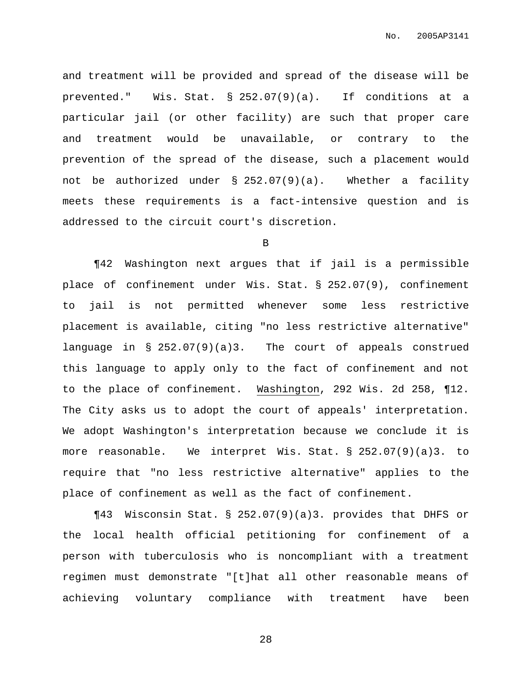and treatment will be provided and spread of the disease will be prevented." Wis. Stat. § 252.07(9)(a). If conditions at a particular jail (or other facility) are such that proper care and treatment would be unavailable, or contrary to the prevention of the spread of the disease, such a placement would not be authorized under § 252.07(9)(a). Whether a facility meets these requirements is a fact-intensive question and is addressed to the circuit court's discretion.

B

¶42 Washington next argues that if jail is a permissible place of confinement under Wis. Stat. § 252.07(9), confinement to jail is not permitted whenever some less restrictive placement is available, citing "no less restrictive alternative" language in § 252.07(9)(a)3. The court of appeals construed this language to apply only to the fact of confinement and not to the place of confinement. Washington, 292 Wis. 2d 258, ¶12. The City asks us to adopt the court of appeals' interpretation. We adopt Washington's interpretation because we conclude it is more reasonable. We interpret Wis. Stat. § 252.07(9)(a)3. to require that "no less restrictive alternative" applies to the place of confinement as well as the fact of confinement.

¶43 Wisconsin Stat. § 252.07(9)(a)3. provides that DHFS or the local health official petitioning for confinement of a person with tuberculosis who is noncompliant with a treatment regimen must demonstrate "[t]hat all other reasonable means of achieving voluntary compliance with treatment have been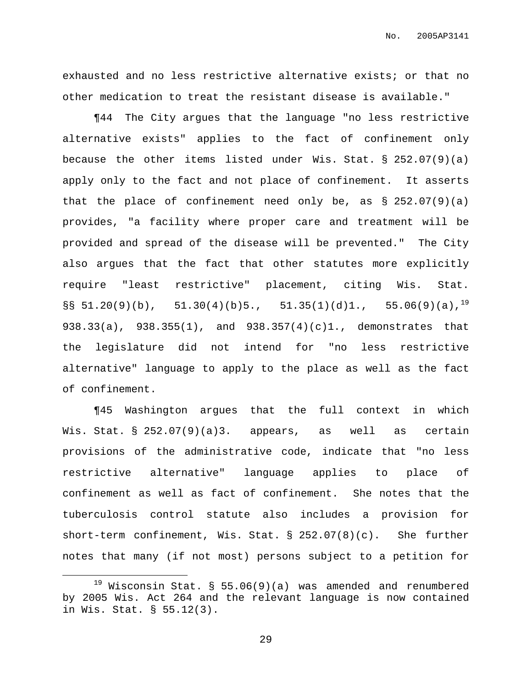exhausted and no less restrictive alternative exists; or that no other medication to treat the resistant disease is available."

¶44 The City argues that the language "no less restrictive alternative exists" applies to the fact of confinement only because the other items listed under Wis. Stat.  $\S$  252.07(9)(a) apply only to the fact and not place of confinement. It asserts that the place of confinement need only be, as  $\S$  252.07(9)(a) provides, "a facility where proper care and treatment will be provided and spread of the disease will be prevented." The City also argues that the fact that other statutes more explicitly require "least restrictive" placement, citing Wis. Stat.  $\S$ § 51.20(9)(b), 51.30(4)(b)5., 51.35(1)(d)1., 55.06(9)(a),<sup>19</sup> 938.33(a), 938.355(1), and 938.357(4)(c)1., demonstrates that the legislature did not intend for "no less restrictive alternative" language to apply to the place as well as the fact of confinement.

¶45 Washington argues that the full context in which Wis. Stat. § 252.07(9)(a)3. appears, as well as certain provisions of the administrative code, indicate that "no less restrictive alternative" language applies to place of confinement as well as fact of confinement. She notes that the tuberculosis control statute also includes a provision for short-term confinement, Wis. Stat. § 252.07(8)(c). She further notes that many (if not most) persons subject to a petition for

 $19$  Wisconsin Stat. § 55.06(9)(a) was amended and renumbered by 2005 Wis. Act 264 and the relevant language is now contained in Wis. Stat. § 55.12(3).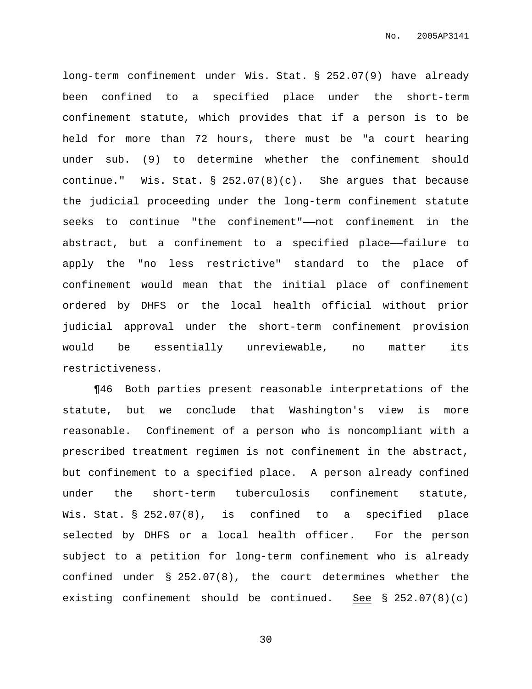long-term confinement under Wis. Stat. § 252.07(9) have already been confined to a specified place under the short-term confinement statute, which provides that if a person is to be held for more than 72 hours, there must be "a court hearing under sub. (9) to determine whether the confinement should continue." Wis. Stat.  $\S$  252.07(8)(c). She argues that because the judicial proceeding under the long-term confinement statute seeks to continue "the confinement"——not confinement in the abstract, but a confinement to a specified place-failure to apply the "no less restrictive" standard to the place of confinement would mean that the initial place of confinement ordered by DHFS or the local health official without prior judicial approval under the short-term confinement provision would be essentially unreviewable, no matter its restrictiveness.

¶46 Both parties present reasonable interpretations of the statute, but we conclude that Washington's view is more reasonable. Confinement of a person who is noncompliant with a prescribed treatment regimen is not confinement in the abstract, but confinement to a specified place. A person already confined under the short-term tuberculosis confinement statute, Wis. Stat. § 252.07(8), is confined to a specified place selected by DHFS or a local health officer. For the person subject to a petition for long-term confinement who is already confined under § 252.07(8), the court determines whether the existing confinement should be continued. See § 252.07(8)(c)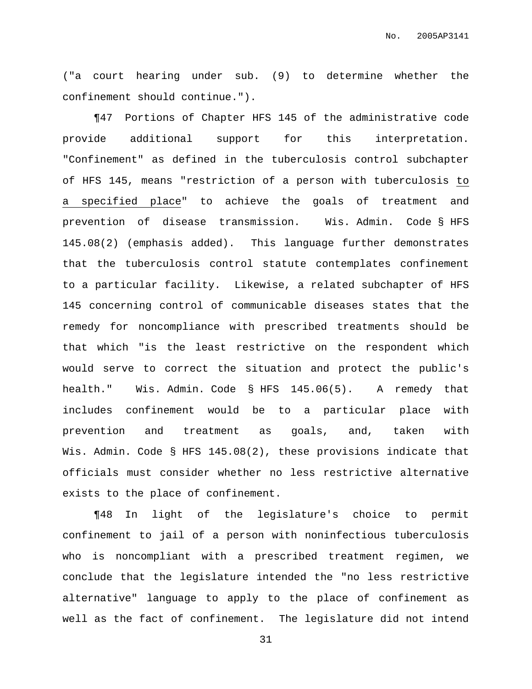("a court hearing under sub. (9) to determine whether the confinement should continue.").

¶47 Portions of Chapter HFS 145 of the administrative code provide additional support for this interpretation. "Confinement" as defined in the tuberculosis control subchapter of HFS 145, means "restriction of a person with tuberculosis to a specified place" to achieve the goals of treatment and prevention of disease transmission. Wis. Admin. Code § HFS 145.08(2) (emphasis added). This language further demonstrates that the tuberculosis control statute contemplates confinement to a particular facility. Likewise, a related subchapter of HFS 145 concerning control of communicable diseases states that the remedy for noncompliance with prescribed treatments should be that which "is the least restrictive on the respondent which would serve to correct the situation and protect the public's health." Wis. Admin. Code § HFS 145.06(5). A remedy that includes confinement would be to a particular place with prevention and treatment as goals, and, taken with Wis. Admin. Code § HFS 145.08(2), these provisions indicate that officials must consider whether no less restrictive alternative exists to the place of confinement.

¶48 In light of the legislature's choice to permit confinement to jail of a person with noninfectious tuberculosis who is noncompliant with a prescribed treatment regimen, we conclude that the legislature intended the "no less restrictive alternative" language to apply to the place of confinement as well as the fact of confinement. The legislature did not intend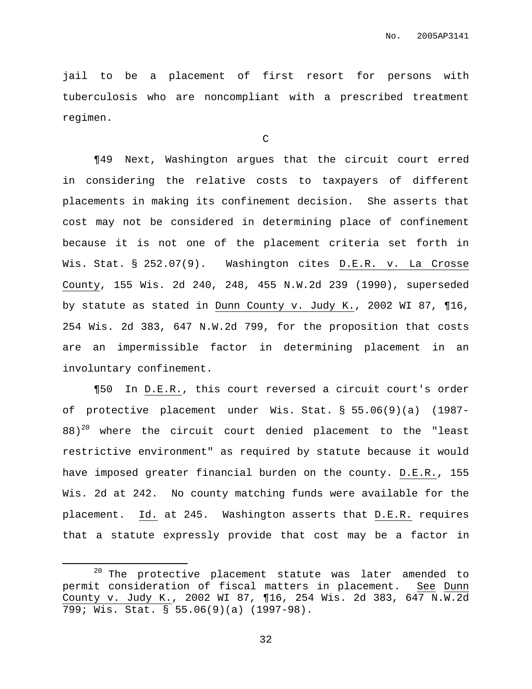jail to be a placement of first resort for persons with tuberculosis who are noncompliant with a prescribed treatment regimen.

C

¶49 Next, Washington argues that the circuit court erred in considering the relative costs to taxpayers of different placements in making its confinement decision. She asserts that cost may not be considered in determining place of confinement because it is not one of the placement criteria set forth in Wis. Stat. § 252.07(9). Washington cites D.E.R. v. La Crosse County, 155 Wis. 2d 240, 248, 455 N.W.2d 239 (1990), superseded by statute as stated in Dunn County v. Judy K., 2002 WI 87, ¶16, 254 Wis. 2d 383, 647 N.W.2d 799, for the proposition that costs are an impermissible factor in determining placement in an involuntary confinement.

¶50 In D.E.R., this court reversed a circuit court's order of protective placement under Wis. Stat. § 55.06(9)(a) (1987- 88)<sup>20</sup> where the circuit court denied placement to the "least restrictive environment" as required by statute because it would have imposed greater financial burden on the county. D.E.R., 155 Wis. 2d at 242. No county matching funds were available for the placement. Id. at 245. Washington asserts that D.E.R. requires that a statute expressly provide that cost may be a factor in

 $20$  The protective placement statute was later amended to permit consideration of fiscal matters in placement. See Dunn County v. Judy K., 2002 WI 87, ¶16, 254 Wis. 2d 383, 647 N.W.2d 799; Wis. Stat. § 55.06(9)(a) (1997-98).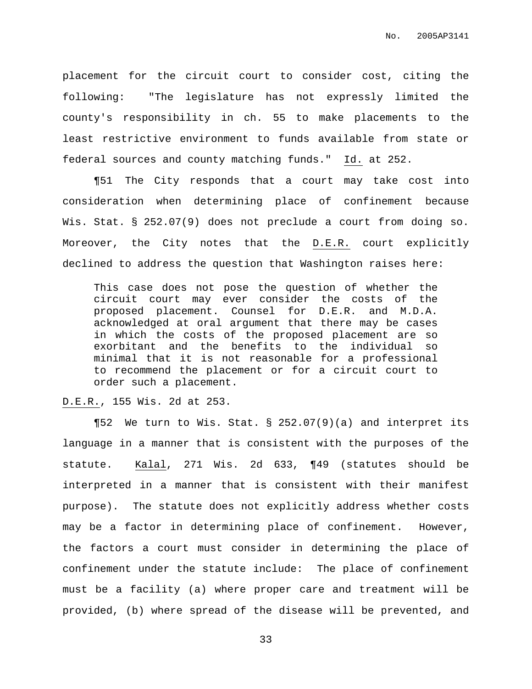placement for the circuit court to consider cost, citing the following: "The legislature has not expressly limited the county's responsibility in ch. 55 to make placements to the least restrictive environment to funds available from state or federal sources and county matching funds." Id. at 252.

¶51 The City responds that a court may take cost into consideration when determining place of confinement because Wis. Stat. § 252.07(9) does not preclude a court from doing so. Moreover, the City notes that the D.E.R. court explicitly declined to address the question that Washington raises here:

This case does not pose the question of whether the circuit court may ever consider the costs of the proposed placement. Counsel for D.E.R. and M.D.A. acknowledged at oral argument that there may be cases in which the costs of the proposed placement are so exorbitant and the benefits to the individual so minimal that it is not reasonable for a professional to recommend the placement or for a circuit court to order such a placement.

# D.E.R., 155 Wis. 2d at 253.

¶52 We turn to Wis. Stat. § 252.07(9)(a) and interpret its language in a manner that is consistent with the purposes of the statute. Kalal, 271 Wis. 2d 633, ¶49 (statutes should be interpreted in a manner that is consistent with their manifest purpose). The statute does not explicitly address whether costs may be a factor in determining place of confinement. However, the factors a court must consider in determining the place of confinement under the statute include: The place of confinement must be a facility (a) where proper care and treatment will be provided, (b) where spread of the disease will be prevented, and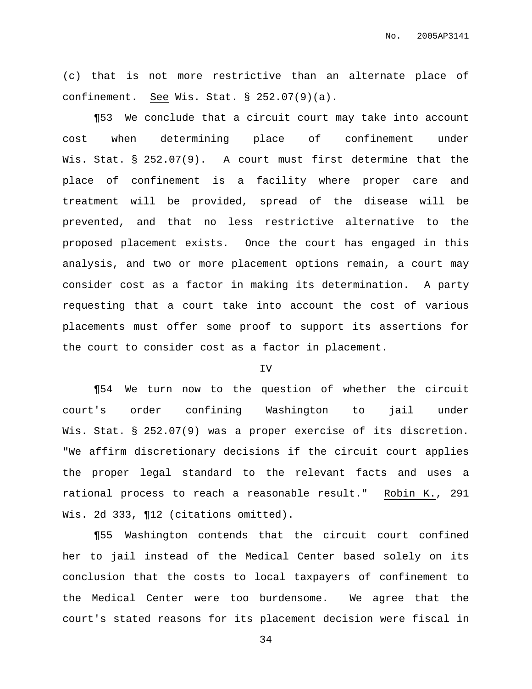No. 2005AP3141

(c) that is not more restrictive than an alternate place of confinement. See Wis. Stat. § 252.07(9)(a).

¶53 We conclude that a circuit court may take into account cost when determining place of confinement under Wis. Stat. § 252.07(9). A court must first determine that the place of confinement is a facility where proper care and treatment will be provided, spread of the disease will be prevented, and that no less restrictive alternative to the proposed placement exists. Once the court has engaged in this analysis, and two or more placement options remain, a court may consider cost as a factor in making its determination. A party requesting that a court take into account the cost of various placements must offer some proof to support its assertions for the court to consider cost as a factor in placement.

### IV

¶54 We turn now to the question of whether the circuit court's order confining Washington to jail under Wis. Stat. § 252.07(9) was a proper exercise of its discretion. "We affirm discretionary decisions if the circuit court applies the proper legal standard to the relevant facts and uses a rational process to reach a reasonable result." Robin K., 291 Wis. 2d 333, ¶12 (citations omitted).

¶55 Washington contends that the circuit court confined her to jail instead of the Medical Center based solely on its conclusion that the costs to local taxpayers of confinement to the Medical Center were too burdensome. We agree that the court's stated reasons for its placement decision were fiscal in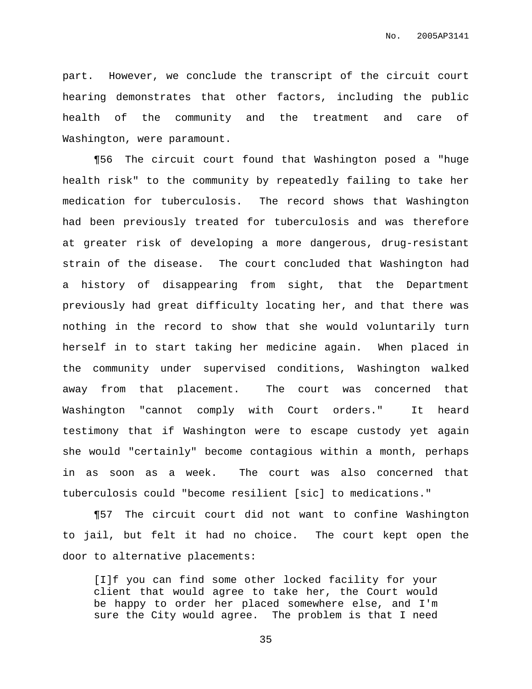part. However, we conclude the transcript of the circuit court hearing demonstrates that other factors, including the public health of the community and the treatment and care of Washington, were paramount.

¶56 The circuit court found that Washington posed a "huge health risk" to the community by repeatedly failing to take her medication for tuberculosis. The record shows that Washington had been previously treated for tuberculosis and was therefore at greater risk of developing a more dangerous, drug-resistant strain of the disease. The court concluded that Washington had a history of disappearing from sight, that the Department previously had great difficulty locating her, and that there was nothing in the record to show that she would voluntarily turn herself in to start taking her medicine again. When placed in the community under supervised conditions, Washington walked away from that placement. The court was concerned that Washington "cannot comply with Court orders." It heard testimony that if Washington were to escape custody yet again she would "certainly" become contagious within a month, perhaps in as soon as a week. The court was also concerned that tuberculosis could "become resilient [sic] to medications."

¶57 The circuit court did not want to confine Washington to jail, but felt it had no choice. The court kept open the door to alternative placements:

[I]f you can find some other locked facility for your client that would agree to take her, the Court would be happy to order her placed somewhere else, and I'm sure the City would agree. The problem is that I need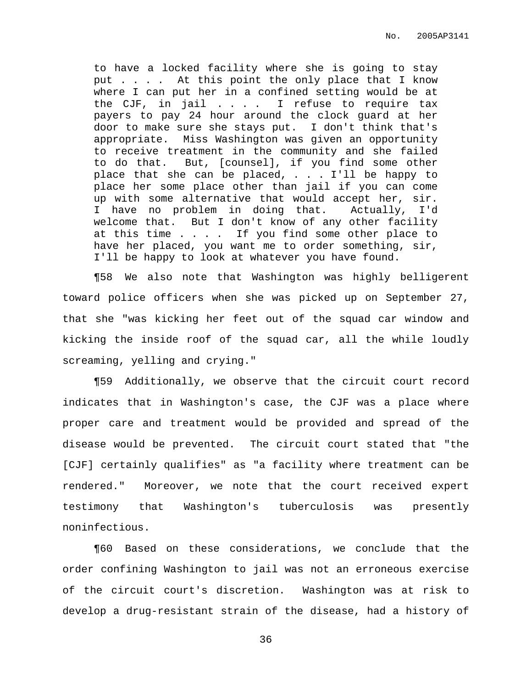to have a locked facility where she is going to stay put . . . . At this point the only place that I know where I can put her in a confined setting would be at the CJF, in jail . . . . I refuse to require tax payers to pay 24 hour around the clock guard at her door to make sure she stays put. I don't think that's appropriate. Miss Washington was given an opportunity to receive treatment in the community and she failed to do that. But, [counsel], if you find some other place that she can be placed,  $\ldots$  . I'll be happy to place her some place other than jail if you can come up with some alternative that would accept her, sir. I have no problem in doing that. Actually, I'd welcome that. But I don't know of any other facility at this time . . . . If you find some other place to have her placed, you want me to order something, sir, I'll be happy to look at whatever you have found.

¶58 We also note that Washington was highly belligerent toward police officers when she was picked up on September 27, that she "was kicking her feet out of the squad car window and kicking the inside roof of the squad car, all the while loudly screaming, yelling and crying."

¶59 Additionally, we observe that the circuit court record indicates that in Washington's case, the CJF was a place where proper care and treatment would be provided and spread of the disease would be prevented. The circuit court stated that "the [CJF] certainly qualifies" as "a facility where treatment can be rendered." Moreover, we note that the court received expert testimony that Washington's tuberculosis was presently noninfectious.

¶60 Based on these considerations, we conclude that the order confining Washington to jail was not an erroneous exercise of the circuit court's discretion. Washington was at risk to develop a drug-resistant strain of the disease, had a history of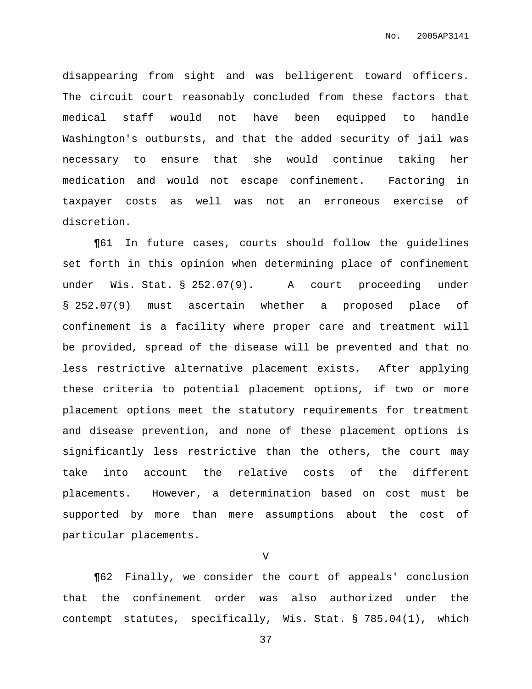disappearing from sight and was belligerent toward officers. The circuit court reasonably concluded from these factors that medical staff would not have been equipped to handle Washington's outbursts, and that the added security of jail was necessary to ensure that she would continue taking her medication and would not escape confinement. Factoring in taxpayer costs as well was not an erroneous exercise of discretion.

¶61 In future cases, courts should follow the guidelines set forth in this opinion when determining place of confinement under Wis. Stat. § 252.07(9). A court proceeding under § 252.07(9) must ascertain whether a proposed place of confinement is a facility where proper care and treatment will be provided, spread of the disease will be prevented and that no less restrictive alternative placement exists. After applying these criteria to potential placement options, if two or more placement options meet the statutory requirements for treatment and disease prevention, and none of these placement options is significantly less restrictive than the others, the court may take into account the relative costs of the different placements. However, a determination based on cost must be supported by more than mere assumptions about the cost of particular placements.

V

¶62 Finally, we consider the court of appeals' conclusion that the confinement order was also authorized under the contempt statutes, specifically, Wis. Stat. § 785.04(1), which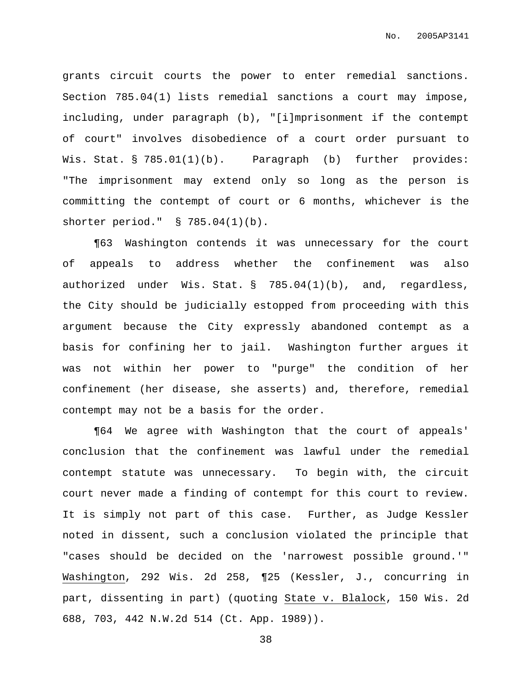grants circuit courts the power to enter remedial sanctions. Section 785.04(1) lists remedial sanctions a court may impose, including, under paragraph (b), "[i]mprisonment if the contempt of court" involves disobedience of a court order pursuant to Wis. Stat. § 785.01(1)(b). Paragraph (b) further provides: "The imprisonment may extend only so long as the person is committing the contempt of court or 6 months, whichever is the shorter period." § 785.04(1)(b).

¶63 Washington contends it was unnecessary for the court of appeals to address whether the confinement was also authorized under Wis. Stat. § 785.04(1)(b), and, regardless, the City should be judicially estopped from proceeding with this argument because the City expressly abandoned contempt as a basis for confining her to jail. Washington further argues it was not within her power to "purge" the condition of her confinement (her disease, she asserts) and, therefore, remedial contempt may not be a basis for the order.

¶64 We agree with Washington that the court of appeals' conclusion that the confinement was lawful under the remedial contempt statute was unnecessary. To begin with, the circuit court never made a finding of contempt for this court to review. It is simply not part of this case. Further, as Judge Kessler noted in dissent, such a conclusion violated the principle that "cases should be decided on the 'narrowest possible ground.'" Washington, 292 Wis. 2d 258, ¶25 (Kessler, J., concurring in part, dissenting in part) (quoting State v. Blalock, 150 Wis. 2d 688, 703, 442 N.W.2d 514 (Ct. App. 1989)).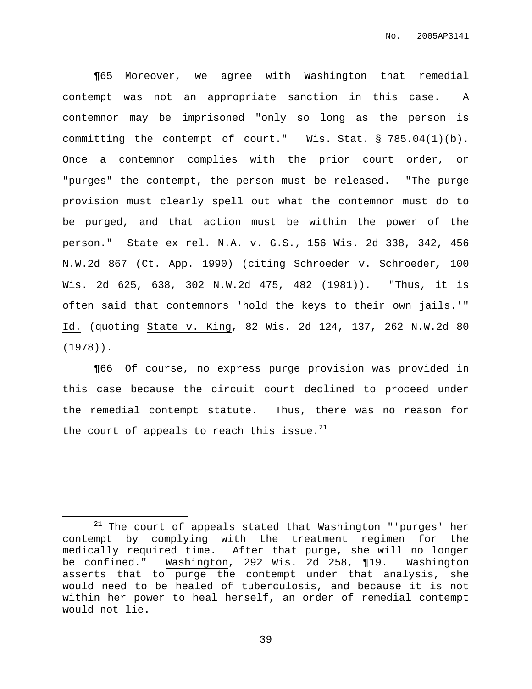¶65 Moreover, we agree with Washington that remedial contempt was not an appropriate sanction in this case. A contemnor may be imprisoned "only so long as the person is committing the contempt of court." Wis. Stat. § 785.04(1)(b). Once a contemnor complies with the prior court order, or "purges" the contempt, the person must be released. "The purge provision must clearly spell out what the contemnor must do to be purged, and that action must be within the power of the person." State ex rel. N.A. v. G.S., 156 Wis. 2d 338, 342, 456 N.W.2d 867 (Ct. App. 1990) (citing Schroeder v. Schroeder, 100 Wis. 2d 625, 638, 302 N.W.2d 475, 482 (1981)). "Thus, it is often said that contemnors 'hold the keys to their own jails.'" Id. (quoting State v. King, 82 Wis. 2d 124, 137, 262 N.W.2d 80 (1978)).

¶66 Of course, no express purge provision was provided in this case because the circuit court declined to proceed under the remedial contempt statute. Thus, there was no reason for the court of appeals to reach this issue. $^{21}$ 

 $21$  The court of appeals stated that Washington "'purges' her contempt by complying with the treatment regimen for the medically required time. After that purge, she will no longer be confined." Washington, 292 Wis. 2d 258, ¶19. Washington asserts that to purge the contempt under that analysis, she would need to be healed of tuberculosis, and because it is not within her power to heal herself, an order of remedial contempt would not lie.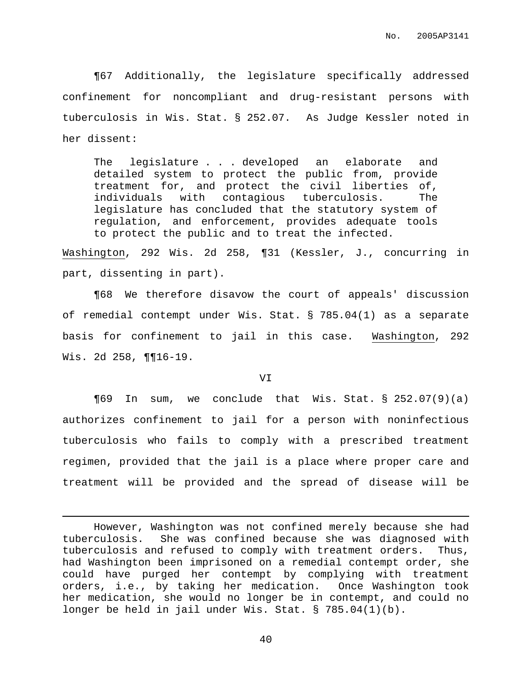¶67 Additionally, the legislature specifically addressed confinement for noncompliant and drug-resistant persons with tuberculosis in Wis. Stat. § 252.07. As Judge Kessler noted in her dissent:

The legislature . . . developed an elaborate and detailed system to protect the public from, provide treatment for, and protect the civil liberties of, individuals with contagious tuberculosis. The legislature has concluded that the statutory system of regulation, and enforcement, provides adequate tools to protect the public and to treat the infected.

Washington, 292 Wis. 2d 258, ¶31 (Kessler, J., concurring in part, dissenting in part).

¶68 We therefore disavow the court of appeals' discussion of remedial contempt under Wis. Stat. § 785.04(1) as a separate basis for confinement to jail in this case. Washington, 292 Wis. 2d 258, ¶¶16-19.

VI

¶69 In sum, we conclude that Wis. Stat. § 252.07(9)(a) authorizes confinement to jail for a person with noninfectious tuberculosis who fails to comply with a prescribed treatment regimen, provided that the jail is a place where proper care and treatment will be provided and the spread of disease will be

However, Washington was not confined merely because she had tuberculosis. She was confined because she was diagnosed with tuberculosis and refused to comply with treatment orders. Thus, had Washington been imprisoned on a remedial contempt order, she could have purged her contempt by complying with treatment orders, i.e., by taking her medication. Once Washington took her medication, she would no longer be in contempt, and could no longer be held in jail under Wis. Stat. § 785.04(1)(b).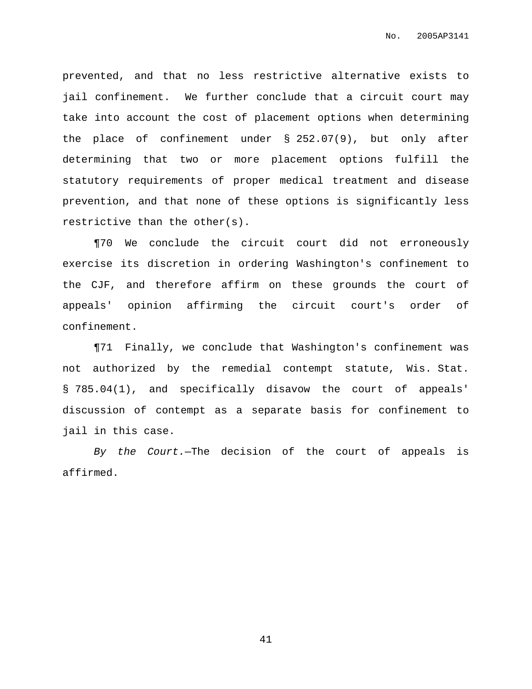prevented, and that no less restrictive alternative exists to jail confinement. We further conclude that a circuit court may take into account the cost of placement options when determining the place of confinement under § 252.07(9), but only after determining that two or more placement options fulfill the statutory requirements of proper medical treatment and disease prevention, and that none of these options is significantly less restrictive than the other(s).

¶70 We conclude the circuit court did not erroneously exercise its discretion in ordering Washington's confinement to the CJF, and therefore affirm on these grounds the court of appeals' opinion affirming the circuit court's order of confinement.

¶71 Finally, we conclude that Washington's confinement was not authorized by the remedial contempt statute, Wis. Stat. § 785.04(1), and specifically disavow the court of appeals' discussion of contempt as a separate basis for confinement to jail in this case.

By the Court.—The decision of the court of appeals is affirmed.